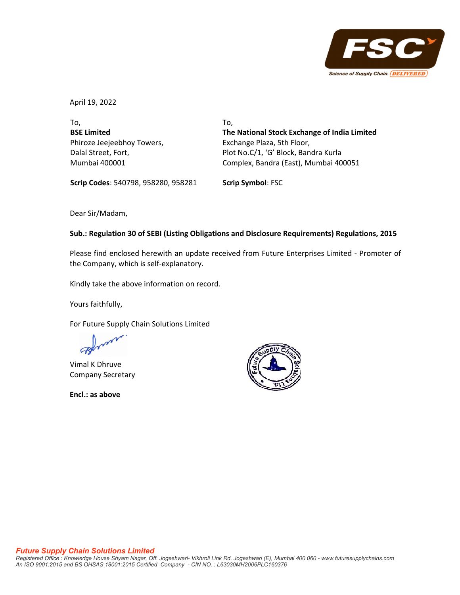

April 19, 2022

To, **BSE Limited** Phiroze Jeejeebhoy Towers, Dalal Street, Fort, Mumbai 400001

To, **The National Stock Exchange of India Limited** Exchange Plaza, 5th Floor, Plot No.C/1, 'G' Block, Bandra Kurla Complex, Bandra (East), Mumbai 400051

**Scrip Codes**: 540798, 958280, 958281 **Scrip Symbol**: FSC

Dear Sir/Madam,

## **Sub.: Regulation 30 of SEBI (Listing Obligations and Disclosure Requirements) Regulations, 2015**

Please find enclosed herewith an update received from Future Enterprises Limited ‐ Promoter of the Company, which is self‐explanatory.

Kindly take the above information on record.

Yours faithfully,

For Future Supply Chain Solutions Limited

Vimal K Dhruve Company Secretary

**Encl.: as above**

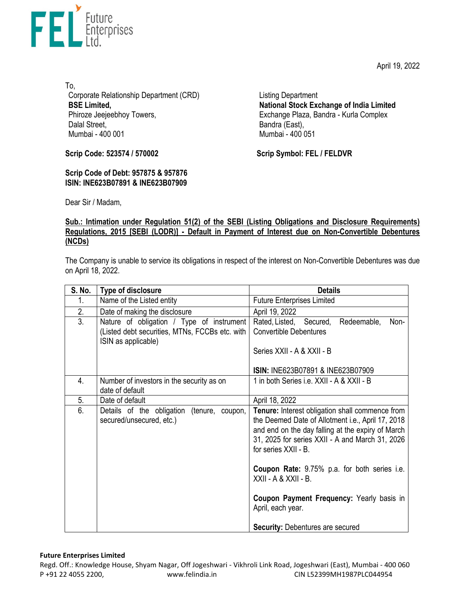April 19, 2022



To, Corporate Relationship Department (CRD) **BSE Limited,**  Phiroze Jeejeebhoy Towers, Dalal Street, Mumbai - 400 001

**Scrip Code: 523574 / 570002**

**Scrip Code of Debt: 957875 & 957876 ISIN: INE623B07891 & INE623B07909**  Listing Department **National Stock Exchange of India Limited**  Exchange Plaza, Bandra - Kurla Complex Bandra (East), Mumbai - 400 051

**Scrip Symbol: FEL / FELDVR**

Dear Sir / Madam,

## **Sub.: Intimation under Regulation 51(2) of the SEBI (Listing Obligations and Disclosure Requirements) Regulations, 2015 [SEBI (LODR)] - Default in Payment of Interest due on Non-Convertible Debentures (NCDs)**

The Company is unable to service its obligations in respect of the interest on Non-Convertible Debentures was due on April 18, 2022.

| S. No. | Type of disclosure                                                                                                 | <b>Details</b>                                                                                                                                                                                                                                                                                                                                                                        |
|--------|--------------------------------------------------------------------------------------------------------------------|---------------------------------------------------------------------------------------------------------------------------------------------------------------------------------------------------------------------------------------------------------------------------------------------------------------------------------------------------------------------------------------|
| 1.     | Name of the Listed entity                                                                                          | <b>Future Enterprises Limited</b>                                                                                                                                                                                                                                                                                                                                                     |
| 2.     | Date of making the disclosure                                                                                      | April 19, 2022                                                                                                                                                                                                                                                                                                                                                                        |
| 3.     | Nature of obligation / Type of instrument<br>(Listed debt securities, MTNs, FCCBs etc. with<br>ISIN as applicable) | Rated, Listed, Secured,<br>Redeemable,<br>Non-<br><b>Convertible Debentures</b><br>Series XXII - A & XXII - B<br>ISIN: INE623B07891 & INE623B07909                                                                                                                                                                                                                                    |
| 4.     | Number of investors in the security as on<br>date of default                                                       | 1 in both Series i.e. XXII - A & XXII - B                                                                                                                                                                                                                                                                                                                                             |
| 5.     | Date of default                                                                                                    | April 18, 2022                                                                                                                                                                                                                                                                                                                                                                        |
| 6.     | Details of the obligation<br>(tenure, coupon,<br>secured/unsecured, etc.)                                          | Tenure: Interest obligation shall commence from<br>the Deemed Date of Allotment i.e., April 17, 2018<br>and end on the day falling at the expiry of March<br>31, 2025 for series XXII - A and March 31, 2026<br>for series XXII - B.<br><b>Coupon Rate:</b> 9.75% p.a. for both series i.e.<br>XXII - A & XXII - B.<br>Coupon Payment Frequency: Yearly basis in<br>April, each year. |
|        |                                                                                                                    | <b>Security: Debentures are secured</b>                                                                                                                                                                                                                                                                                                                                               |

## **Future Enterprises Limited**

Regd. Off.: Knowledge House, Shyam Nagar, Off Jogeshwari ‐ Vikhroli Link Road, Jogeshwari (East), Mumbai ‐ 400 060 P +91 22 4055 2200, www.felindia.in CIN L52399MH1987PLC044954